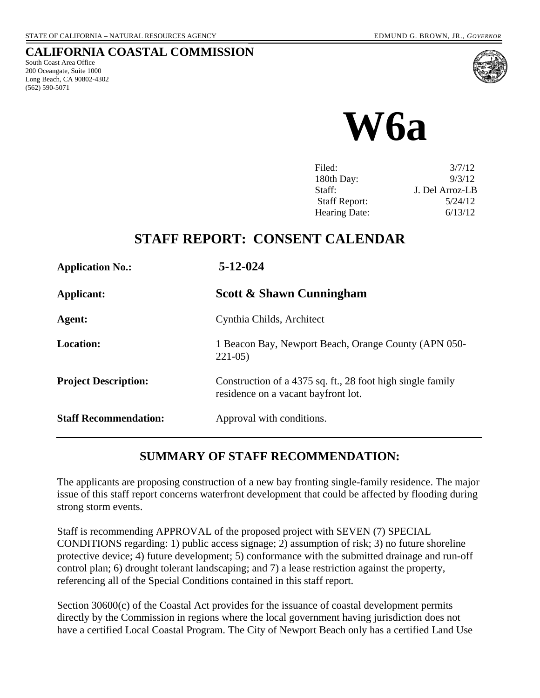### **CALIFORNIA COASTAL COMMISSION**

South Coast Area Office 200 Oceangate, Suite 1000 Long Beach, CA 90802-4302 (562) 590-5071



**W6a** 

| Filed:               | 3/7/12          |
|----------------------|-----------------|
| 180th Day:           | 9/3/12          |
| Staff:               | J. Del Arroz-LB |
| <b>Staff Report:</b> | 5/24/12         |
| <b>Hearing Date:</b> | 6/13/12         |
|                      |                 |

## **STAFF REPORT: CONSENT CALENDAR**

| <b>Application No.:</b>      | $5 - 12 - 024$                                                                                    |
|------------------------------|---------------------------------------------------------------------------------------------------|
| Applicant:                   | <b>Scott &amp; Shawn Cunningham</b>                                                               |
| Agent:                       | Cynthia Childs, Architect                                                                         |
| <b>Location:</b>             | 1 Beacon Bay, Newport Beach, Orange County (APN 050-<br>$221-05$                                  |
| <b>Project Description:</b>  | Construction of a 4375 sq. ft., 28 foot high single family<br>residence on a vacant bayfront lot. |
| <b>Staff Recommendation:</b> | Approval with conditions.                                                                         |

### **SUMMARY OF STAFF RECOMMENDATION:**

The applicants are proposing construction of a new bay fronting single-family residence. The major issue of this staff report concerns waterfront development that could be affected by flooding during strong storm events.

Staff is recommending APPROVAL of the proposed project with SEVEN (7) SPECIAL CONDITIONS regarding: 1) public access signage; 2) assumption of risk; 3) no future shoreline protective device; 4) future development; 5) conformance with the submitted drainage and run-off control plan; 6) drought tolerant landscaping; and 7) a lease restriction against the property, referencing all of the Special Conditions contained in this staff report.

Section 30600(c) of the Coastal Act provides for the issuance of coastal development permits directly by the Commission in regions where the local government having jurisdiction does not have a certified Local Coastal Program. The City of Newport Beach only has a certified Land Use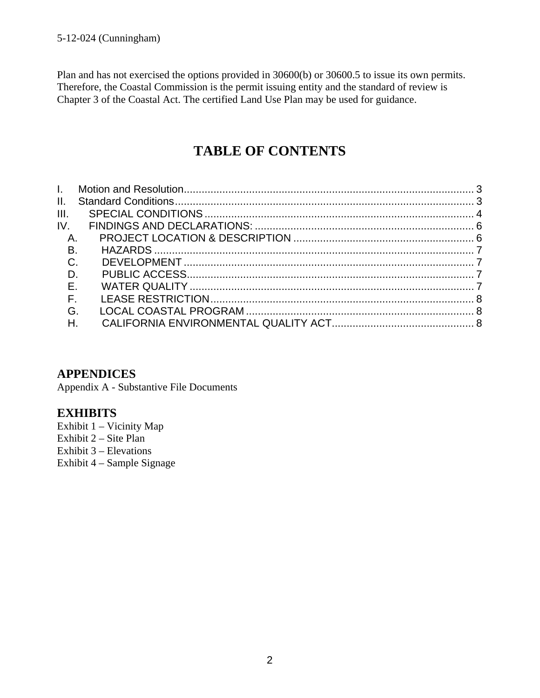Plan and has not exercised the options provided in 30600(b) or 30600.5 to issue its own permits. Therefore, the Coastal Commission is the permit issuing entity and the standard of review is Chapter 3 of the Coastal Act. The certified Land Use Plan may be used for guidance.

# **TABLE OF CONTENTS**

| A.<br><b>B.</b><br>$C$ .<br>$\Box$<br>$E$ .<br>$F_{\perp}$<br>G.<br>$H_{\rm{H}}$ |
|----------------------------------------------------------------------------------|

### **APPENDICES**

Appendix A - Substantive File Documents

### **EXHIBITS**

Exhibit 1 – Vicinity Map Exhibit  $2 -$  Site Plan Exhibit 3 – Elevations Exhibit 4 – Sample Signage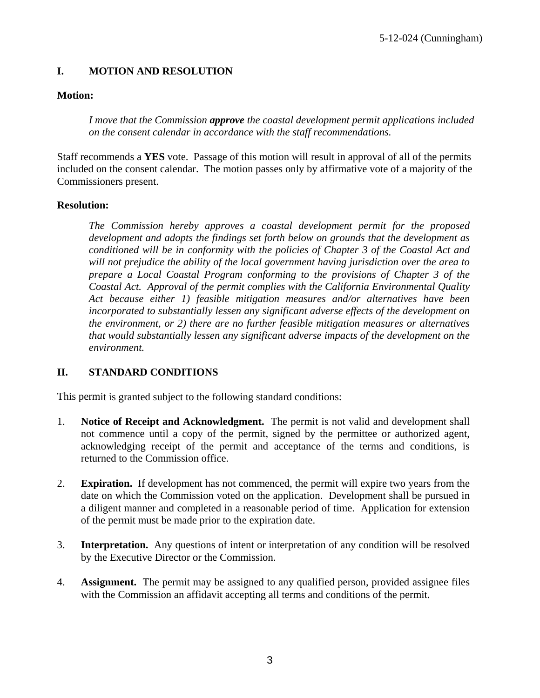#### <span id="page-2-0"></span>**I. MOTION AND RESOLUTION**

#### **Motion:**

*I move that the Commission approve the coastal development permit applications included on the consent calendar in accordance with the staff recommendations.*

Staff recommends a **YES** vote. Passage of this motion will result in approval of all of the permits included on the consent calendar. The motion passes only by affirmative vote of a majority of the Commissioners present.

#### **Resolution:**

*The Commission hereby approves a coastal development permit for the proposed development and adopts the findings set forth below on grounds that the development as conditioned will be in conformity with the policies of Chapter 3 of the Coastal Act and will not prejudice the ability of the local government having jurisdiction over the area to prepare a Local Coastal Program conforming to the provisions of Chapter 3 of the Coastal Act. Approval of the permit complies with the California Environmental Quality Act because either 1) feasible mitigation measures and/or alternatives have been incorporated to substantially lessen any significant adverse effects of the development on the environment, or 2) there are no further feasible mitigation measures or alternatives that would substantially lessen any significant adverse impacts of the development on the environment.* 

#### <span id="page-2-1"></span>**II. STANDARD CONDITIONS**

This permit is granted subject to the following standard conditions:

- 1. **Notice of Receipt and Acknowledgment.** The permit is not valid and development shall not commence until a copy of the permit, signed by the permittee or authorized agent, acknowledging receipt of the permit and acceptance of the terms and conditions, is returned to the Commission office.
- 2. **Expiration.** If development has not commenced, the permit will expire two years from the date on which the Commission voted on the application. Development shall be pursued in a diligent manner and completed in a reasonable period of time. Application for extension of the permit must be made prior to the expiration date.
- 3. **Interpretation.** Any questions of intent or interpretation of any condition will be resolved by the Executive Director or the Commission.
- 4. **Assignment.** The permit may be assigned to any qualified person, provided assignee files with the Commission an affidavit accepting all terms and conditions of the permit.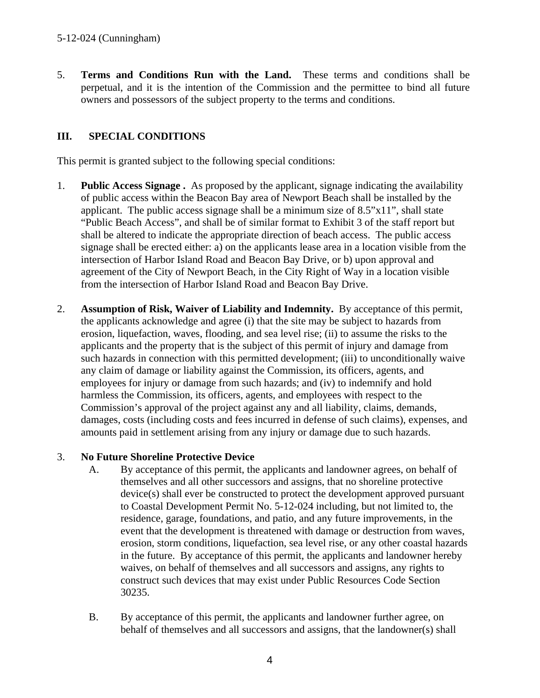5. **Terms and Conditions Run with the Land.** These terms and conditions shall be perpetual, and it is the intention of the Commission and the permittee to bind all future owners and possessors of the subject property to the terms and conditions.

#### <span id="page-3-0"></span>**III. SPECIAL CONDITIONS**

This permit is granted subject to the following special conditions:

- 1. **Public Access Signage .** As proposed by the applicant, signage indicating the availability of public access within the Beacon Bay area of Newport Beach shall be installed by the applicant. The public access signage shall be a minimum size of 8.5"x11", shall state "Public Beach Access", and shall be of similar format to Exhibit 3 of the staff report but shall be altered to indicate the appropriate direction of beach access. The public access signage shall be erected either: a) on the applicants lease area in a location visible from the intersection of Harbor Island Road and Beacon Bay Drive, or b) upon approval and agreement of the City of Newport Beach, in the City Right of Way in a location visible from the intersection of Harbor Island Road and Beacon Bay Drive.
- 2. **Assumption of Risk, Waiver of Liability and Indemnity.** By acceptance of this permit, the applicants acknowledge and agree (i) that the site may be subject to hazards from erosion, liquefaction, waves, flooding, and sea level rise; (ii) to assume the risks to the applicants and the property that is the subject of this permit of injury and damage from such hazards in connection with this permitted development; (iii) to unconditionally waive any claim of damage or liability against the Commission, its officers, agents, and employees for injury or damage from such hazards; and (iv) to indemnify and hold harmless the Commission, its officers, agents, and employees with respect to the Commission's approval of the project against any and all liability, claims, demands, damages, costs (including costs and fees incurred in defense of such claims), expenses, and amounts paid in settlement arising from any injury or damage due to such hazards.

#### 3. **No Future Shoreline Protective Device**

- A. By acceptance of this permit, the applicants and landowner agrees, on behalf of themselves and all other successors and assigns, that no shoreline protective device(s) shall ever be constructed to protect the development approved pursuant to Coastal Development Permit No. 5-12-024 including, but not limited to, the residence, garage, foundations, and patio, and any future improvements, in the event that the development is threatened with damage or destruction from waves, erosion, storm conditions, liquefaction, sea level rise, or any other coastal hazards in the future. By acceptance of this permit, the applicants and landowner hereby waives, on behalf of themselves and all successors and assigns, any rights to construct such devices that may exist under Public Resources Code Section 30235.
- B. By acceptance of this permit, the applicants and landowner further agree, on behalf of themselves and all successors and assigns, that the landowner(s) shall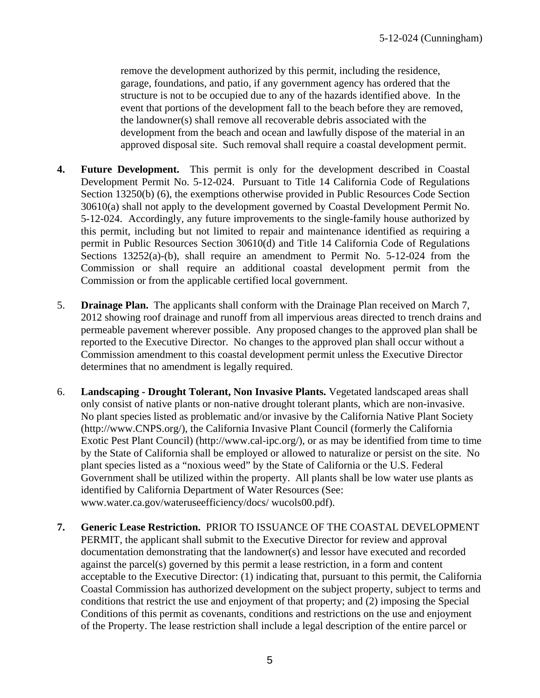remove the development authorized by this permit, including the residence, garage, foundations, and patio, if any government agency has ordered that the structure is not to be occupied due to any of the hazards identified above. In the event that portions of the development fall to the beach before they are removed, the landowner(s) shall remove all recoverable debris associated with the development from the beach and ocean and lawfully dispose of the material in an approved disposal site. Such removal shall require a coastal development permit.

- **4. Future Development.** This permit is only for the development described in Coastal Development Permit No. 5-12-024. Pursuant to Title 14 California Code of Regulations Section 13250(b) (6), the exemptions otherwise provided in Public Resources Code Section 30610(a) shall not apply to the development governed by Coastal Development Permit No. 5-12-024. Accordingly, any future improvements to the single-family house authorized by this permit, including but not limited to repair and maintenance identified as requiring a permit in Public Resources Section 30610(d) and Title 14 California Code of Regulations Sections 13252(a)-(b), shall require an amendment to Permit No. 5-12-024 from the Commission or shall require an additional coastal development permit from the Commission or from the applicable certified local government.
- 5. **Drainage Plan.** The applicants shall conform with the Drainage Plan received on March 7, 2012 showing roof drainage and runoff from all impervious areas directed to trench drains and permeable pavement wherever possible. Any proposed changes to the approved plan shall be reported to the Executive Director. No changes to the approved plan shall occur without a Commission amendment to this coastal development permit unless the Executive Director determines that no amendment is legally required.
- 6. **Landscaping Drought Tolerant, Non Invasive Plants.** Vegetated landscaped areas shall only consist of native plants or non-native drought tolerant plants, which are non-invasive. No plant species listed as problematic and/or invasive by the California Native Plant Society (http://www.CNPS.org/), the California Invasive Plant Council (formerly the California Exotic Pest Plant Council) (http://www.cal-ipc.org/), or as may be identified from time to time by the State of California shall be employed or allowed to naturalize or persist on the site. No plant species listed as a "noxious weed" by the State of California or the U.S. Federal Government shall be utilized within the property. All plants shall be low water use plants as identified by California Department of Water Resources (See: www.water.ca.gov/wateruseefficiency/docs/ wucols00.pdf).
- **7. Generic Lease Restriction.** PRIOR TO ISSUANCE OF THE COASTAL DEVELOPMENT PERMIT, the applicant shall submit to the Executive Director for review and approval documentation demonstrating that the landowner(s) and lessor have executed and recorded against the parcel(s) governed by this permit a lease restriction, in a form and content acceptable to the Executive Director: (1) indicating that, pursuant to this permit, the California Coastal Commission has authorized development on the subject property, subject to terms and conditions that restrict the use and enjoyment of that property; and (2) imposing the Special Conditions of this permit as covenants, conditions and restrictions on the use and enjoyment of the Property. The lease restriction shall include a legal description of the entire parcel or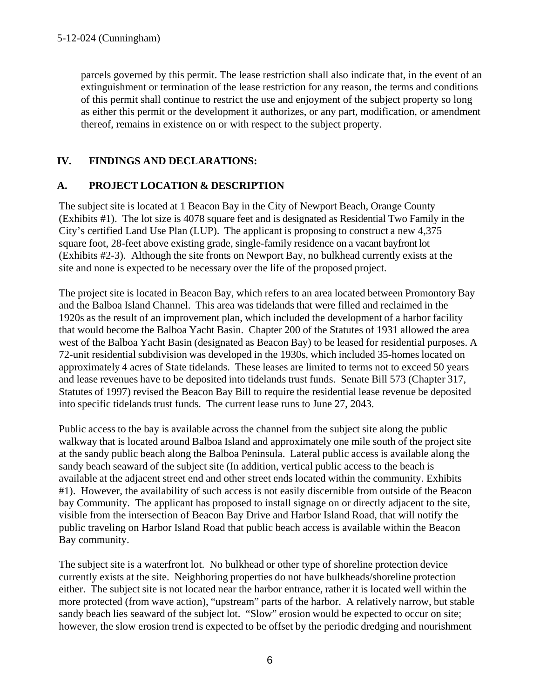parcels governed by this permit. The lease restriction shall also indicate that, in the event of an extinguishment or termination of the lease restriction for any reason, the terms and conditions of this permit shall continue to restrict the use and enjoyment of the subject property so long as either this permit or the development it authorizes, or any part, modification, or amendment thereof, remains in existence on or with respect to the subject property.

#### <span id="page-5-0"></span>**IV. FINDINGS AND DECLARATIONS:**

#### <span id="page-5-1"></span>**A. PROJECT LOCATION & DESCRIPTION**

The subject site is located at 1 Beacon Bay in the City of Newport Beach, Orange County (Exhibits #1). The lot size is 4078 square feet and is designated as Residential Two Family in the City's certified Land Use Plan (LUP). The applicant is proposing to construct a new 4,375 square foot, 28-feet above existing grade, single-family residence on a vacant bayfront lot (Exhibits #2-3). Although the site fronts on Newport Bay, no bulkhead currently exists at the site and none is expected to be necessary over the life of the proposed project.

The project site is located in Beacon Bay, which refers to an area located between Promontory Bay and the Balboa Island Channel. This area was tidelands that were filled and reclaimed in the 1920s as the result of an improvement plan, which included the development of a harbor facility that would become the Balboa Yacht Basin. Chapter 200 of the Statutes of 1931 allowed the area west of the Balboa Yacht Basin (designated as Beacon Bay) to be leased for residential purposes. A 72-unit residential subdivision was developed in the 1930s, which included 35-homes located on approximately 4 acres of State tidelands. These leases are limited to terms not to exceed 50 years and lease revenues have to be deposited into tidelands trust funds. Senate Bill 573 (Chapter 317, Statutes of 1997) revised the Beacon Bay Bill to require the residential lease revenue be deposited into specific tidelands trust funds. The current lease runs to June 27, 2043.

Public access to the bay is available across the channel from the subject site along the public walkway that is located around Balboa Island and approximately one mile south of the project site at the sandy public beach along the Balboa Peninsula. Lateral public access is available along the sandy beach seaward of the subject site (In addition, vertical public access to the beach is available at the adjacent street end and other street ends located within the community. Exhibits #1). However, the availability of such access is not easily discernible from outside of the Beacon bay Community. The applicant has proposed to install signage on or directly adjacent to the site, visible from the intersection of Beacon Bay Drive and Harbor Island Road, that will notify the public traveling on Harbor Island Road that public beach access is available within the Beacon Bay community.

The subject site is a waterfront lot. No bulkhead or other type of shoreline protection device currently exists at the site. Neighboring properties do not have bulkheads/shoreline protection either. The subject site is not located near the harbor entrance, rather it is located well within the more protected (from wave action), "upstream" parts of the harbor. A relatively narrow, but stable sandy beach lies seaward of the subject lot. "Slow" erosion would be expected to occur on site; however, the slow erosion trend is expected to be offset by the periodic dredging and nourishment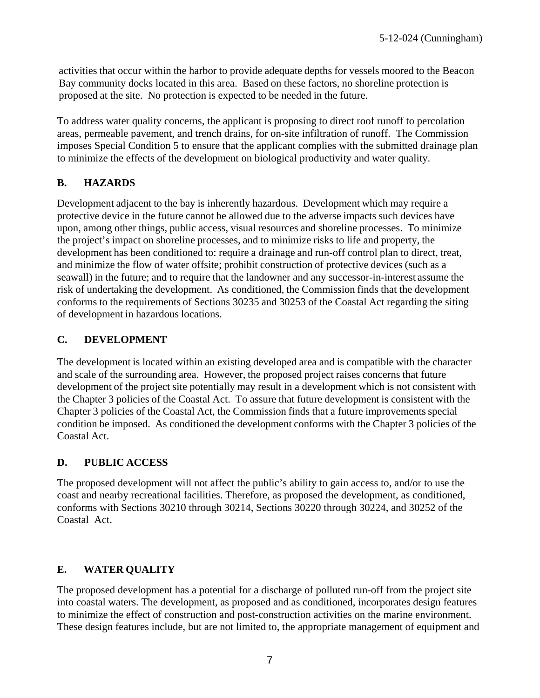activities that occur within the harbor to provide adequate depths for vessels moored to the Beacon Bay community docks located in this area. Based on these factors, no shoreline protection is proposed at the site. No protection is expected to be needed in the future.

To address water quality concerns, the applicant is proposing to direct roof runoff to percolation areas, permeable pavement, and trench drains, for on-site infiltration of runoff. The Commission imposes Special Condition 5 to ensure that the applicant complies with the submitted drainage plan to minimize the effects of the development on biological productivity and water quality.

### <span id="page-6-0"></span>**B. HAZARDS**

Development adjacent to the bay is inherently hazardous. Development which may require a protective device in the future cannot be allowed due to the adverse impacts such devices have upon, among other things, public access, visual resources and shoreline processes. To minimize the project's impact on shoreline processes, and to minimize risks to life and property, the development has been conditioned to: require a drainage and run-off control plan to direct, treat, and minimize the flow of water offsite; prohibit construction of protective devices (such as a seawall) in the future; and to require that the landowner and any successor-in-interest assume the risk of undertaking the development. As conditioned, the Commission finds that the development conforms to the requirements of Sections 30235 and 30253 of the Coastal Act regarding the siting of development in hazardous locations.

#### <span id="page-6-1"></span>**C. DEVELOPMENT**

The development is located within an existing developed area and is compatible with the character and scale of the surrounding area. However, the proposed project raises concerns that future development of the project site potentially may result in a development which is not consistent with the Chapter 3 policies of the Coastal Act. To assure that future development is consistent with the Chapter 3 policies of the Coastal Act, the Commission finds that a future improvements special condition be imposed. As conditioned the development conforms with the Chapter 3 policies of the Coastal Act.

#### <span id="page-6-2"></span>**D. PUBLIC ACCESS**

The proposed development will not affect the public's ability to gain access to, and/or to use the coast and nearby recreational facilities. Therefore, as proposed the development, as conditioned, conforms with Sections 30210 through 30214, Sections 30220 through 30224, and 30252 of the Coastal Act.

#### <span id="page-6-3"></span>**E. WATER QUALITY**

The proposed development has a potential for a discharge of polluted run-off from the project site into coastal waters. The development, as proposed and as conditioned, incorporates design features to minimize the effect of construction and post-construction activities on the marine environment. These design features include, but are not limited to, the appropriate management of equipment and